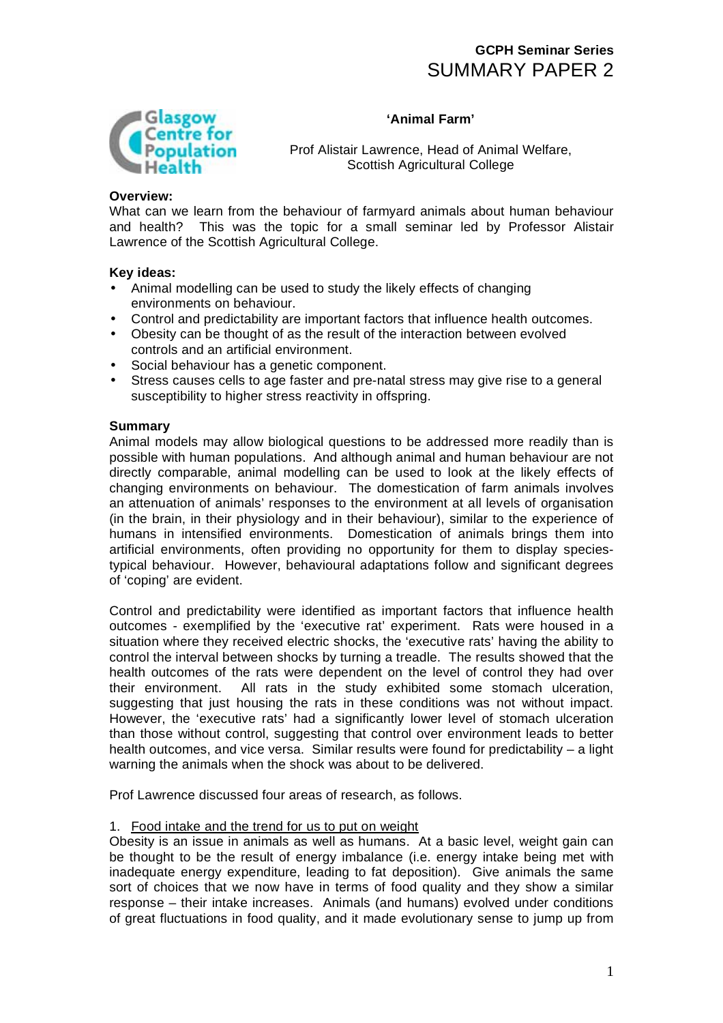



Prof Alistair Lawrence, Head of Animal Welfare, Scottish Agricultural College

# **Overview:**

What can we learn from the behaviour of farmyard animals about human behaviour and health? This was the topic for a small seminar led by Professor Alistair Lawrence of the Scottish Agricultural College.

# **Key ideas:**

- Animal modelling can be used to study the likely effects of changing environments on behaviour.
- Control and predictability are important factors that influence health outcomes.
- Obesity can be thought of as the result of the interaction between evolved controls and an artificial environment.
- Social behaviour has a genetic component.
- Stress causes cells to age faster and pre-natal stress may give rise to a general susceptibility to higher stress reactivity in offspring.

#### **Summary**

Animal models may allow biological questions to be addressed more readily than is possible with human populations. And although animal and human behaviour are not directly comparable, animal modelling can be used to look at the likely effects of changing environments on behaviour. The domestication of farm animals involves an attenuation of animals' responses to the environment at all levels of organisation (in the brain, in their physiology and in their behaviour), similar to the experience of humans in intensified environments. Domestication of animals brings them into artificial environments, often providing no opportunity for them to display speciestypical behaviour. However, behavioural adaptations follow and significant degrees of 'coping' are evident.

Control and predictability were identified as important factors that influence health outcomes - exemplified by the 'executive rat' experiment. Rats were housed in a situation where they received electric shocks, the 'executive rats' having the ability to control the interval between shocks by turning a treadle. The results showed that the health outcomes of the rats were dependent on the level of control they had over their environment. All rats in the study exhibited some stomach ulceration, suggesting that just housing the rats in these conditions was not without impact. However, the 'executive rats' had a significantly lower level of stomach ulceration than those without control, suggesting that control over environment leads to better health outcomes, and vice versa. Similar results were found for predictability – a light warning the animals when the shock was about to be delivered.

Prof Lawrence discussed four areas of research, as follows.

# 1. Food intake and the trend for us to put on weight

Obesity is an issue in animals as well as humans. At a basic level, weight gain can be thought to be the result of energy imbalance (i.e. energy intake being met with inadequate energy expenditure, leading to fat deposition). Give animals the same sort of choices that we now have in terms of food quality and they show a similar response – their intake increases. Animals (and humans) evolved under conditions of great fluctuations in food quality, and it made evolutionary sense to jump up from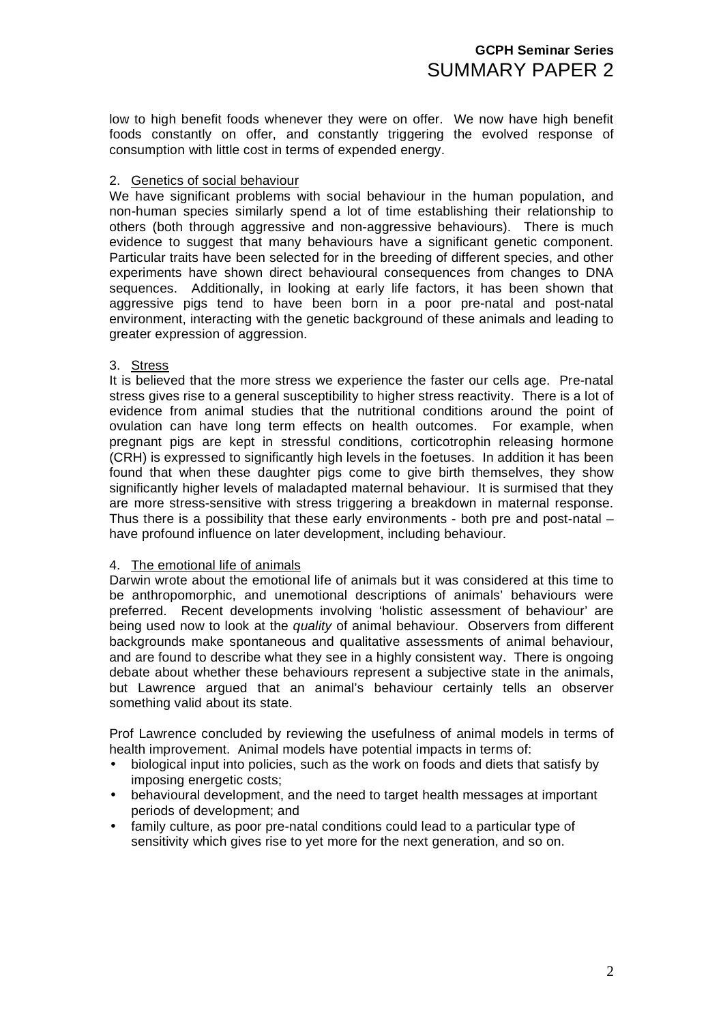low to high benefit foods whenever they were on offer. We now have high benefit foods constantly on offer, and constantly triggering the evolved response of consumption with little cost in terms of expended energy.

## 2. Genetics of social behaviour

We have significant problems with social behaviour in the human population, and non-human species similarly spend a lot of time establishing their relationship to others (both through aggressive and non-aggressive behaviours). There is much evidence to suggest that many behaviours have a significant genetic component. Particular traits have been selected for in the breeding of different species, and other experiments have shown direct behavioural consequences from changes to DNA sequences. Additionally, in looking at early life factors, it has been shown that aggressive pigs tend to have been born in a poor pre-natal and post-natal environment, interacting with the genetic background of these animals and leading to greater expression of aggression.

## 3. Stress

It is believed that the more stress we experience the faster our cells age. Pre-natal stress gives rise to a general susceptibility to higher stress reactivity. There is a lot of evidence from animal studies that the nutritional conditions around the point of ovulation can have long term effects on health outcomes. For example, when pregnant pigs are kept in stressful conditions, corticotrophin releasing hormone (CRH) is expressed to significantly high levels in the foetuses. In addition it has been found that when these daughter pigs come to give birth themselves, they show significantly higher levels of maladapted maternal behaviour. It is surmised that they are more stress-sensitive with stress triggering a breakdown in maternal response. Thus there is a possibility that these early environments - both pre and post-natal – have profound influence on later development, including behaviour.

#### 4. The emotional life of animals

Darwin wrote about the emotional life of animals but it was considered at this time to be anthropomorphic, and unemotional descriptions of animals' behaviours were preferred. Recent developments involving 'holistic assessment of behaviour' are being used now to look at the *quality* of animal behaviour. Observers from different backgrounds make spontaneous and qualitative assessments of animal behaviour, and are found to describe what they see in a highly consistent way. There is ongoing debate about whether these behaviours represent a subjective state in the animals, but Lawrence argued that an animal's behaviour certainly tells an observer something valid about its state.

Prof Lawrence concluded by reviewing the usefulness of animal models in terms of health improvement. Animal models have potential impacts in terms of:

- biological input into policies, such as the work on foods and diets that satisfy by imposing energetic costs;
- behavioural development, and the need to target health messages at important periods of development; and
- family culture, as poor pre-natal conditions could lead to a particular type of sensitivity which gives rise to yet more for the next generation, and so on.